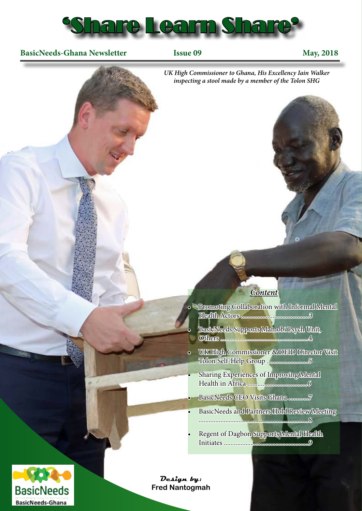

#### **BasicNeeds-Ghana Newsletter** Issue 09 May, 2018



**BasicNeeds BasicNeeds-Ghana** 

**Design by: Fred Nantogmah**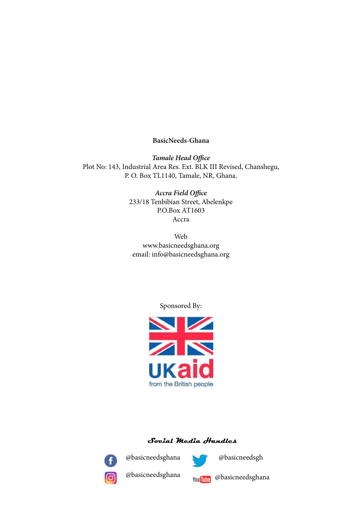#### **BasicNeeds-Ghana**

*Tamale Head Office* Plot No: 143, Industrial Area Res. Ext. BLK III Revised, Chanshegu, P. O. Box TL1140, Tamale, NR, Ghana.

> *Accra Field Office* 233/18 Tenbibian Street, Abelenkpe P.O.Box AT1603 Accra

Web www.basicneedsghana.org email: info@basicneedsghana.org

Sponsored By:



#### **Social Media Handles**



@basicneedsghana



@basicneedsgh



@basicneedsghana



@basicneedsghana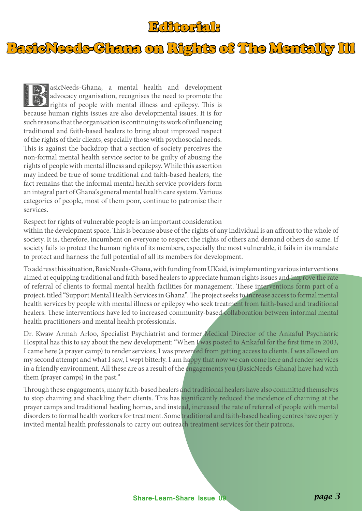#### Editorial:

BasicNeeds-Ghana on Rights of The Mentally Ill

asicNeeds-Ghana, a mental health and development<br>advocacy organisation, recognises the need to promote the<br>rights of people with mental illness and epilepsy. This is advocacy organisation, recognises the need to promote the rights of people with mental illness and epilepsy. This is because human rights issues are also developmental issues. It is for such reasons that the organisation is continuing its work of influencing traditional and faith-based healers to bring about improved respect of the rights of their clients, especially those with psychosocial needs. This is against the backdrop that a section of society perceives the non-formal mental health service sector to be guilty of abusing the rights of people with mental illness and epilepsy. While this assertion may indeed be true of some traditional and faith-based healers, the fact remains that the informal mental health service providers form an integral part of Ghana's general mental health care system. Various categories of people, most of them poor, continue to patronise their services.

Respect for rights of vulnerable people is an important consideration

within the development space. This is because abuse of the rights of any individual is an affront to the whole of society. It is, therefore, incumbent on everyone to respect the rights of others and demand others do same. If society fails to protect the human rights of its members, especially the most vulnerable, it fails in its mandate to protect and harness the full potential of all its members for development.

To address this situation, BasicNeeds-Ghana, with funding from UKaid, is implementing various interventions aimed at equipping traditional and faith-based healers to appreciate human rights issues and improve the rate of referral of clients to formal mental health facilities for management. These interventions form part of a project, titled "Support Mental Health Services in Ghana". The project seeks to increase access to formal mental health services by people with mental illness or epilepsy who seek treatment from faith-based and traditional healers. These interventions have led to increased community-based collaboration between informal mental health practitioners and mental health professionals.

Dr. Kwaw Armah Arloo, Specialist Psychiatrist and former Medical Director of the Ankaful Psychiatric Hospital has this to say about the new development: "When I was posted to Ankaful for the first time in 2003, I came here (a prayer camp) to render services; I was prevented from getting access to clients. I was allowed on my second attempt and what I saw, I wept bitterly. I am happy that now we can come here and render services in a friendly environment. All these are as a result of the engagements you (BasicNeeds-Ghana) have had with them (prayer camps) in the past."

Through these engagements, many faith-based healers and traditional healers have also committed themselves to stop chaining and shackling their clients. This has significantly reduced the incidence of chaining at the prayer camps and traditional healing homes, and instead, increased the rate of referral of people with mental disorders to formal health workers for treatment. Some traditional and faith-based healing centres have openly invited mental health professionals to carry out outreach treatment services for their patrons.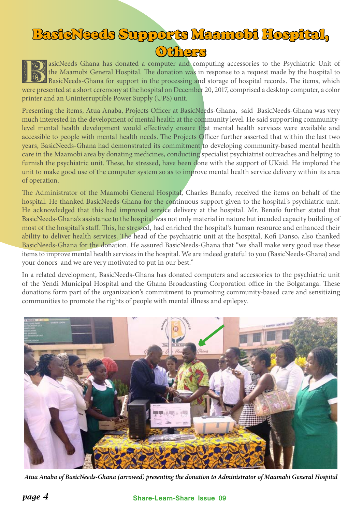## BasicNeeds Supports Maamobi Hospital, Others

asicNeeds Ghana has donated a computer and computing accessories to the Psychiatric Unit of the Maamobi General Hospital. The donation was in response to a request made by the hospital to BasicNeeds-Ghana for support in the processing and storage of hospital records. The items, which were presented at a short ceremony at the hospital on December 20, 2017, comprised a desktop computer, a color printer and an Uninterruptible Power Supply (UPS) unit.

Presenting the items, Atua Anaba, Projects Officer at BasicNeeds-Ghana, said BasicNeeds-Ghana was very much interested in the development of mental health at the community level. He said supporting communitylevel mental health development would effectively ensure that mental health services were available and accessible to people with mental health needs. The Projects Officer further asserted that within the last two years, BasicNeeds-Ghana had demonstrated its commitment to developing community-based mental health care in the Maamobi area by donating medicines, conducting specialist psychiatrist outreaches and helping to furnish the psychiatric unit. These, he stressed, have been done with the support of UKaid. He implored the unit to make good use of the computer system so as to improve mental health service delivery within its area of operation.

The Administrator of the Maamobi General Hospital, Charles Banafo, received the items on behalf of the hospital. He thanked BasicNeeds-Ghana for the continuous support given to the hospital's psychiatric unit. He acknowledged that this had improved service delivery at the hospital. Mr. Benafo further stated that BasicNeeds-Ghana's assistance to the hospital was not only material in nature but incuded capacity building of most of the hospital's staff. This, he stressed, had enriched the hospital's human resource and enhanced their ability to deliver health services. The head of the psychiatric unit at the hospital, Kofi Danso, also thanked BasicNeeds-Ghana for the donation. He assured BasicNeeds-Ghana that "we shall make very good use these items to improve mental health services in the hospital. We are indeed grateful to you (BasicNeeds-Ghana) and your donors and we are very motivated to put in our best."

In a related development, BasicNeeds-Ghana has donated computers and accessories to the psychiatric unit of the Yendi Municipal Hospital and the Ghana Broadcasting Corporation office in the Bolgatanga. These donations form part of the organization's commitment to promoting community-based care and sensitizing communities to promote the rights of people with mental illness and epilepsy.



*Atua Anaba of BasicNeeds-Ghana (arrowed) presenting the donation to Administrator of Maamabi General Hospital*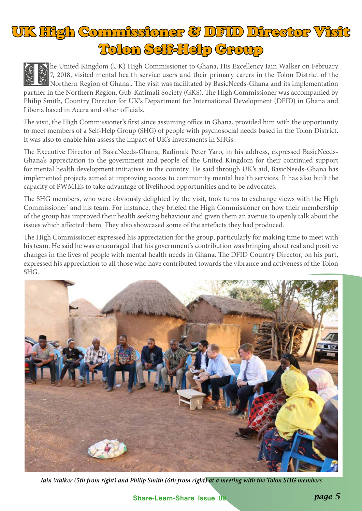# UK High Commissioner & DFID Director Visit Tolon Self-Help Group

The United Kingdom (UK) High Commissioner to Ghana, His Excellency Iain Walker on February<br>7, 2018, visited mental health service users and their primary carers in the Tolon District of the<br>Northern Region of Ghana.. The v 7, 2018, visited mental health service users and their primary carers in the Tolon District of the partner in the Northern Region, Gub-Katimali Society (GKS). The High Commissioner was accompanied by Philip Smith, Country Director for UK's Department for International Development (DFID) in Ghana and Liberia based in Accra and other officials.

The visit, the High Commissioner's first since assuming office in Ghana, provided him with the opportunity to meet members of a Self-Help Group (SHG) of people with psychosocial needs based in the Tolon District. It was also to enable him assess the impact of UK's investments in SHGs.

The Executive Director of BasicNeeds-Ghana, Badimak Peter Yaro, in his address, expressed BasicNeeds-Ghana's appreciation to the government and people of the United Kingdom for their continued support for mental health development initiatives in the country. He said through UK's aid, BasicNeeds-Ghana has implemented projects aimed at improving access to community mental health services. It has also built the capacity of PWMIEs to take advantage of livelihood opportunities and to be advocates.

The SHG members, who were obviously delighted by the visit, took turns to exchange views with the High Commissioner' and his team. For instance, they briefed the High Commissioner on how their membership of the group has improved their health seeking behaviour and given them an avenue to openly talk about the issues which affected them. They also showcased some of the artefacts they had produced.

The High Commissioner expressed his appreciation for the group, particularly for making time to meet with his team. He said he was encouraged that his government's contribution was bringing about real and positive changes in the lives of people with mental health needs in Ghana. The DFID Country Director, on his part, expressed his appreciation to all those who have contributed towards the vibrance and activeness of the Tolon SHG.



*Iain Walker (5th from right) and Philip Smith (6th from right) at a meeting with the Tolon SHG members*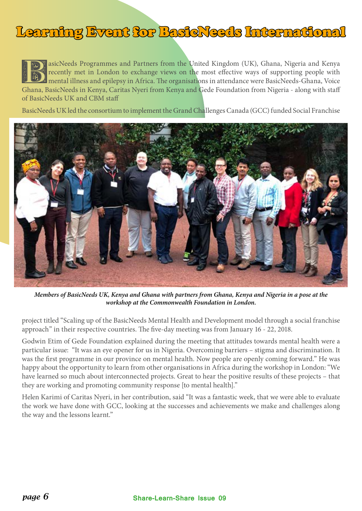### Learning Event for BasicNeeds International

asicNeeds Programmes and Partners from the United Kingdom (UK), Ghana, Nigeria and Kenya<br>recently met in London to exchange views on the most effective ways of supporting people with<br>mental illness and epilepsy in Africa. recently met in London to exchange views on the most effective ways of supporting people with mental illness and epilepsy in Africa. The organisations in attendance were BasicNeeds-Ghana, Voice Ghana, BasicNeeds in Kenya, Caritas Nyeri from Kenya and Gede Foundation from Nigeria - along with staff of BasicNeeds UK and CBM staff

BasicNeeds UK led the consortium to implement the Grand Challenges Canada (GCC) funded Social Franchise



*Members of BasicNeeds UK, Kenya and Ghana with partners from Ghana, Kenya and Nigeria in a pose at the workshop at the Commonwealth Foundation in London.* 

project titled "Scaling up of the BasicNeeds Mental Health and Development model through a social franchise approach" in their respective countries. The five-day meeting was from January 16 - 22, 2018.

Godwin Etim of Gede Foundation explained during the meeting that attitudes towards mental health were a particular issue: "It was an eye opener for us in Nigeria. Overcoming barriers – stigma and discrimination. It was the first programme in our province on mental health. Now people are openly coming forward." He was happy about the opportunity to learn from other organisations in Africa during the workshop in London: "We have learned so much about interconnected projects. Great to hear the positive results of these projects – that they are working and promoting community response [to mental health]."

Helen Karimi of Caritas Nyeri, in her contribution, said "It was a fantastic week, that we were able to evaluate the work we have done with GCC, looking at the successes and achievements we make and challenges along the way and the lessons learnt."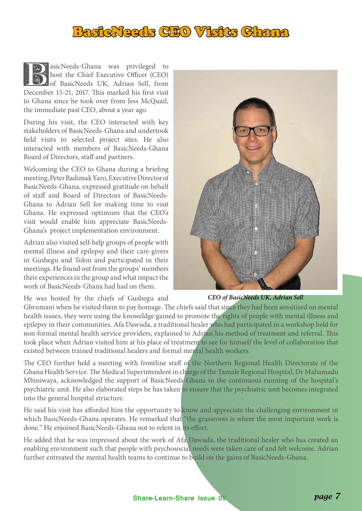### BasicNeeds CEO Visits Chana

asicNeeds-Ghana was privileged to host the Chief Executive Officer (CEO) of BasicNeeds UK, Adrian Sell, from December 15-21, 2017. This marked his first visit to Ghana since he took over from Jess McQuail, the immediate past CEO, about a year ago.

During his visit, the CEO interacted with key stakeholders of BasicNeeds-Ghana and undertook field visits to selected project sites. He also interacted with members of BasicNeeds-Ghana Board of Directors, staff and partners.

Welcoming the CEO to Ghana during a briefing meeting, Peter Badimak Yaro, Executive Director of BasicNeeds-Ghana, expressed gratitude on behalf of staff and Board of Directors of BasicNeeds-Ghana to Adrian Sell for making time to visit Ghana. He expressed optimism that the CEO's visit would enable him appreciate BasicNeeds-Ghana's project implementation environment.

Adrian also visited self-help groups of people with mental illness and epilepsy and their care-givers in Gushegu and Tolon and participated in their meetings. He found out from the groups' members their experiences in the group and what impact the work of BasicNeeds-Ghana had had on them.



He was hosted by the chiefs of Gushegu and

*CEO of BasicNeeds UK, Adrian Sell*

Gbrumani when he visited them to pay homage. The chiefs said that since they had been sensitised on mental health issues, they were using the knoweldge gained to promote the rights of people with mental illness and epilepsy in their communities. Afa Dawuda, a traditional healer who had participated in a workshop held for non-formal mental health service providers, explained to Adrian his method of treatment and referral. This took place when Adrian visited him at his place of treatment to see for himself the level of collaboration that existed between trained traditional healers and formal mental health workers.

The CEO further held a meeting with frontline staff of the Northern Regional Health Directorate of the Ghana Health Service. The Medical Superintendent in charge of the Tamale Regional Hospital, Dr Mahamadu Mbiniwaya, acknowledged the support of BasicNeeds-Ghana in the continuous running of the hospital's psychiatric unit. He also elaborated steps he has taken to ensure that the psychiatric unit becomes integrated into the general hospital structure.

He said his visit has afforded him the opportunity to know and appreciate the challenging environment in which BasicNeeds-Ghana operates. He remarked that "the grassroots is where the most important work is done." He enjoined BasicNeeds-Ghana not to relent in its effort.

He added that he was impressed about the work of Afa Dawuda, the traditional healer who has created an enabling environment such that people with psychosocial needs were taken care of and felt welcome. Adrian further entreated the mental health teams to continue to build on the gains of BasicNeeds-Ghana.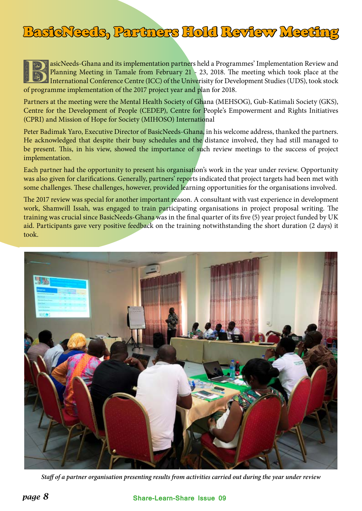## BasicNeeds, Partners Hold Review Meeting

asicNeeds-Ghana and its implementation partners held a Programmes' Implementation Review and<br>Planning Meeting in Tamale from February 21 - 23, 2018. The meeting which took place at the<br>International Conference Centre (ICC) Planning Meeting in Tamale from February 21 - 23, 2018. The meeting which took place at the International Conference Centre (ICC) of the Univerisity for Development Studies (UDS), took stock of programme implementation of the 2017 project year and plan for 2018.

Partners at the meeting were the Mental Health Society of Ghana (MEHSOG), Gub-Katimali Society (GKS), Centre for the Development of People (CEDEP), Centre for People's Empowerment and Rights Initiatives (CPRI) and Mission of Hope for Society (MIHOSO) International

Peter Badimak Yaro, Executive Director of BasicNeeds-Ghana, in his welcome address, thanked the partners. He acknowledged that despite their busy schedules and the distance involved, they had still managed to be present. This, in his view, showed the importance of such review meetings to the success of project implementation.

Each partner had the opportunity to present his organisation's work in the year under review. Opportunity was also given for clarifications. Generally, partners' reports indicated that project targets had been met with some challenges. These challenges, however, provided learning opportunities for the organisations involved.

The 2017 review was special for another important reason. A consultant with vast experience in development work, Shamwill Issah, was engaged to train participating organisations in project proposal writing. The training was crucial since BasicNeeds-Ghana was in the final quarter of its five (5) year project funded by UK aid. Participants gave very positive feedback on the training notwithstanding the short duration (2 days) it took.



*Staff of a partner organisation presenting results from activities carried out during the year under review*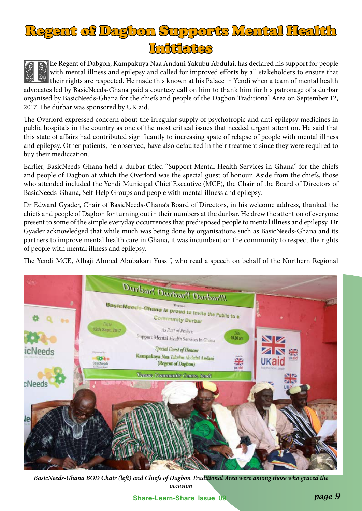

The Regent of Dabgon, Kampakuya Naa Andani Yakubu Abdulai, has declared his support for people<br>with mental illness and epilepsy and called for improved efforts by all stakeholders to ensure that<br>their rights are respected. with mental illness and epilepsy and called for improved efforts by all stakeholders to ensure that their rights are respected. He made this known at his Palace in Yendi when a team of mental health advocates led by BasicNeeds-Ghana paid a courtesy call on him to thank him for his patronage of a durbar organised by BasicNeeds-Ghana for the chiefs and people of the Dagbon Traditional Area on September 12, 2017. The durbar was sponsored by UK aid.

The Overlord expressed concern about the irregular supply of psychotropic and anti-epilepsy medicines in public hospitals in the country as one of the most critical issues that needed urgent attention. He said that this state of affairs had contributed significantly to increasing spate of relapse of people with mental illness and epilepsy. Other patients, he observed, have also defaulted in their treatment since they were required to buy their mediccation.

Earlier, BasicNeeds-Ghana held a durbar titled "Support Mental Health Services in Ghana" for the chiefs and people of Dagbon at which the Overlord was the special guest of honour. Aside from the chiefs, those who attended included the Yendi Municipal Chief Executive (MCE), the Chair of the Board of Directors of BasicNeeds-Ghana, Self-Help Groups and people with mental illness and epilepsy.

Dr Edward Gyader, Chair of BasicNeeds-Ghana's Board of Directors, in his welcome address, thanked the chiefs and people of Dagbon for turning out in their numbers at the durbar. He drew the attention of everyone present to some of the simple everyday occurrences that predisposed people to mental illness and epilepsy. Dr Gyader acknowledged that while much was being done by organisations such as BasicNeeds-Ghana and its partners to improve mental health care in Ghana, it was incumbent on the community to respect the rights of people with mental illness and epilepsy.

The Yendi MCE, Alhaji Ahmed Abubakari Yussif, who read a speech on behalf of the Northern Regional



*BasicNeeds-Ghana BOD Chair (left) and Chiefs of Dagbon Traditional Area were among those who graced the occasion*

**Share-Learn-Share Issue 09** *page 9*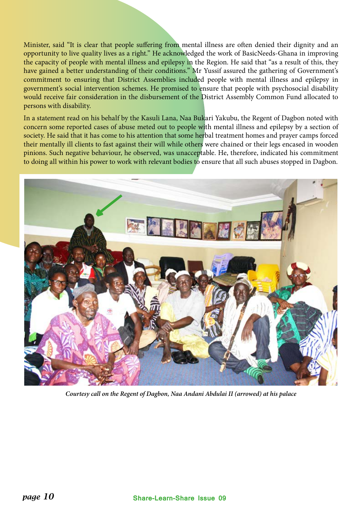Minister, said "It is clear that people suffering from mental illness are often denied their dignity and an opportunity to live quality lives as a right." He acknowledged the work of BasicNeeds-Ghana in improving the capacity of people with mental illness and epilepsy in the Region. He said that "as a result of this, they have gained a better understanding of their conditions." Mr Yussif assured the gathering of Government's commitment to ensuring that District Assemblies included people with mental illness and epilepsy in government's social intervention schemes. He promised to ensure that people with psychosocial disability would receive fair consideration in the disbursement of the District Assembly Common Fund allocated to persons with disability.

In a statement read on his behalf by the Kasuli Lana, Naa Bukari Yakubu, the Regent of Dagbon noted with concern some reported cases of abuse meted out to people with mental illness and epilepsy by a section of society. He said that it has come to his attention that some herbal treatment homes and prayer camps forced their mentally ill clients to fast against their will while others were chained or their legs encased in wooden pinions. Such negative behaviour, he observed, was unacceptable. He, therefore, indicated his commitment to doing all within his power to work with relevant bodies to ensure that all such abuses stopped in Dagbon.



*Courtesy call on the Regent of Dagbon, Naa Andani Abdulai II (arrowed) at his palace*